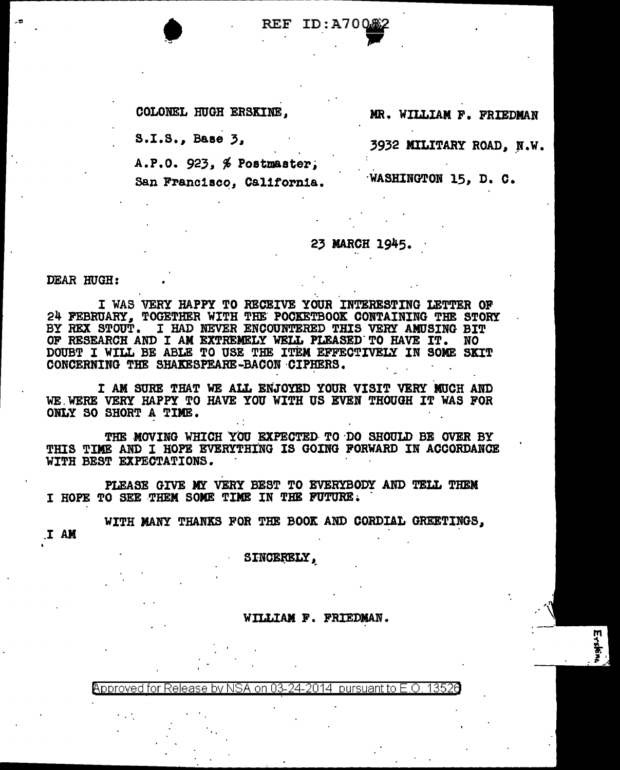**• REF ID:A700.62** 

COLONEL HUGH ERSKINE, MR. WILLIAM F. FRIEDMAN

 $S.I.S.,$  Base  $\overline{3}$ , 3932 MILITARY ROAD, N.W.

~

 $A.P.0.923. %$  Postmaster;

San Francisco, California. **WASHINGTON 15, D. C.** 

## 23 MARCH 1945.

DEAR HUGH:

I WAS VERY HAPPY TO RECEIVE YOUR INTERESTING LETTER OF 24 FEBRUARY, TOGETHER WITH THE' POCKETBOOK CONTAINING THE STORY BY HEX STOUT. I HAD NEVER ENCOUNTERED THIS VERY AMUSING BIT OF RESEARCH AND I AM EXTREMELY WELL PLEASED. TO HAVE IT. NO DOUBT I WILL BE ABLE TO USE THE ITEM EFFECTIVELY IN SOME SKIT CONCERNING THE SHAKESPEARE-BACON CIPHERS.

I AM SURE THAT WE ALL ENJOYED YOUR VISIT VERY MUCH AND WE. WERE VERY HAPPY TO HAVE YOU WITH US EVEN THOUGH IT WAS FOR ONLY SO SHORT A TIME.

THE MOVING WHICH YOU EXPECTED TO DO SHOULD BE OVER BY THIS TIME AND I HOPE EVERYTHING IS GOING FORWARD IN ACCORDANCE WITH BEST EXPECTATIONS.

PLEASE GIVE MY VERY BEST TO EVERYBODY AND TELL THEM I HOPE TO SEE THEM SOME TIME IN THE FUTURE.

.I AM WITH MANY THANKS FOR THE BOOK AND CORDIAL GREETINGS,

SINCERELY.

WILLIAM F. FRIEDMAN.

<code>Approved</code> for Release by NSA on 03-24-2014 <code>pursuant</code> to E.O. 13526 <code>Dure</code>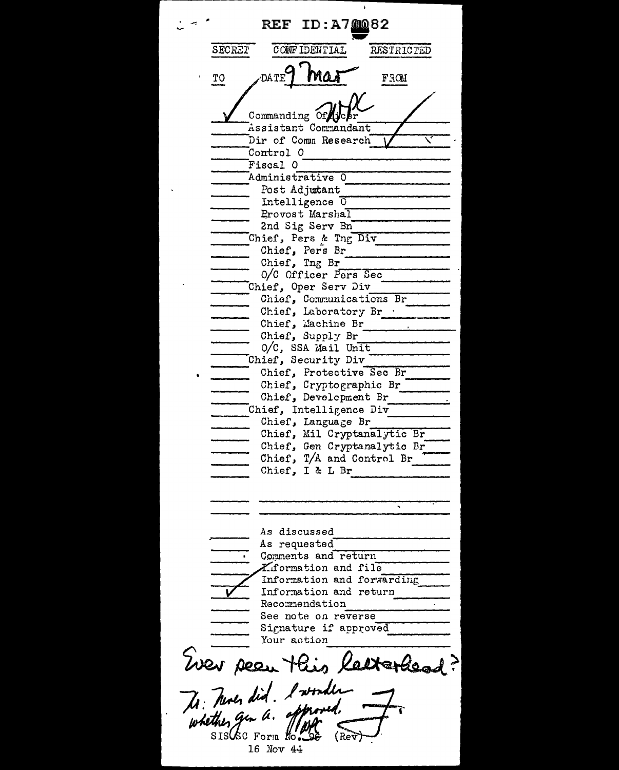ID:A70082 REF SECRET CONFIDENTIAL **RESTRICTED** DATE Maj FROM ТO Commanding Of Assistant Commandant Dir of Comm Research Control 0 Fiscal 0 Administrative 0 Post Adjutant Intelligence  $\sigma$ Provost Marshal 2nd Sig Serv Bn Chief, Pers & Tng Div Chief, Pers Br Chief, Ing Br 0/C Officer Pers Sec Chief, Oper Serv Div Chief, Communications Br Chief, Laboratory Br . Chief, Machine Br Chief, Supply Br O/C, SSA Mail Unit Chief, Security Div Chief, Protective Sec Br Chief, Cryptographic Br Chief, Development Br Chief, Intelligence Div Chief, Language Br Chief, Mil Cryptanalytic Br Chief, Gen Cryptanalytic Br Chief,  $T/A$  and Control Br  $T$ Chief, I & L Br ↸ As discussed As requested Comments and return Liformation and file Information and forwarding Information and return Recommendation See note on reverse Signature if approved Your action Wer pear this latterhead? The Tunes did. I wonder whether gen a.  $SIS(\&c$  Form  $\&c$ . (Rev 16 Nov 44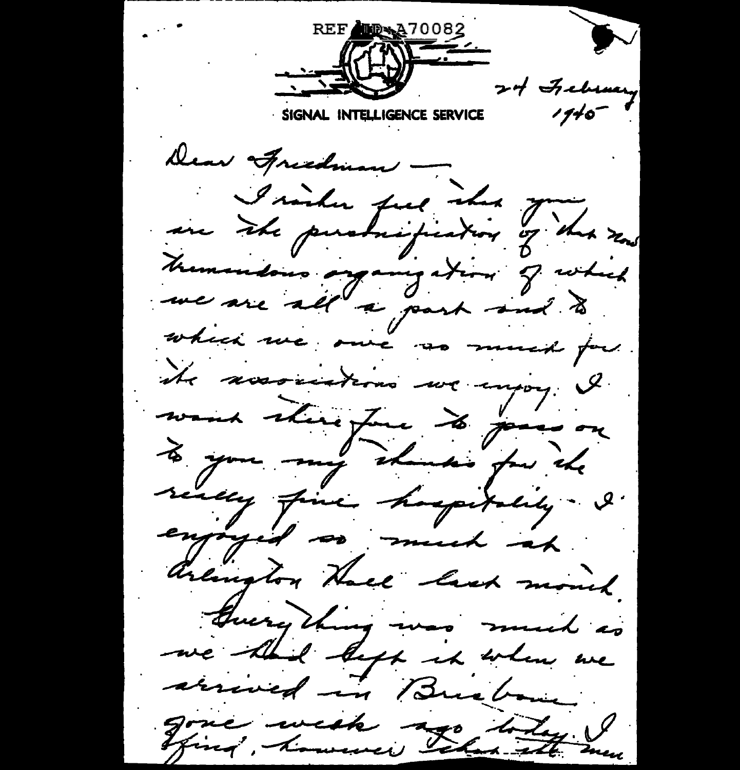REF UD+A70082 **STANDARD STANDARD** 24 February  $1710^{-7}$ SIGNAL INTELLIGENCE SERVICE Dear Aredman —<br>I sinder fue iden Juda sens Mementous organization of which which we one as much for ite accountions we injoy & seally fine happitality. I. enjoyed so much at arington Hace lash mont. Guerything was much as we think befor it when we arrived in Buchan gone wish ago today !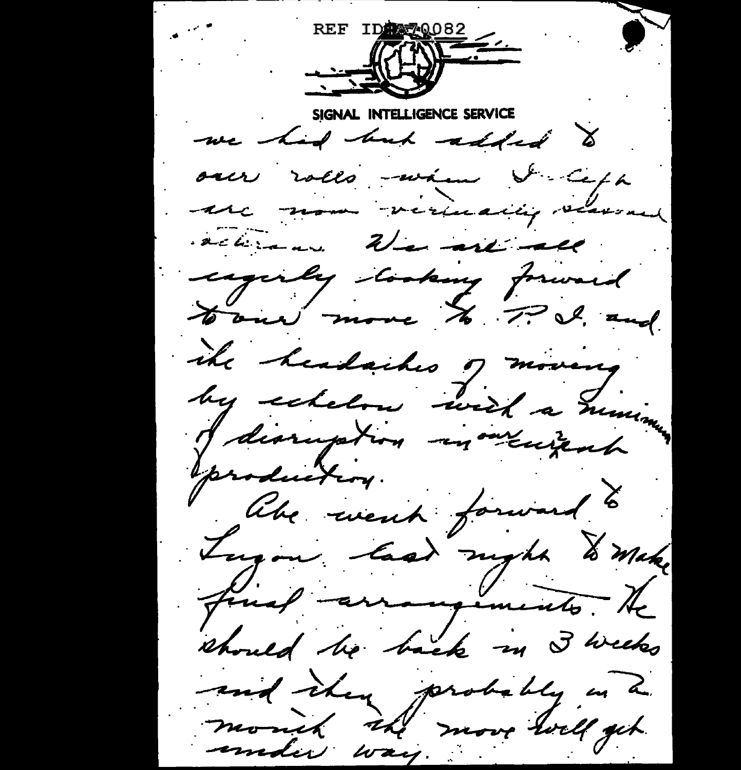REF IDENSIOS2 ELLIGENCE SERVICE we had but added to over rolls -wann & Ceph une nom veriealig vermed activens. We are all eagerly tooking forward Hour more to P.S. and ike headaches of moveng by extelse with a minimum production. like went forward to Tugon last night & make final arrangements. He should be back in 3 weeks and ihm probably in a